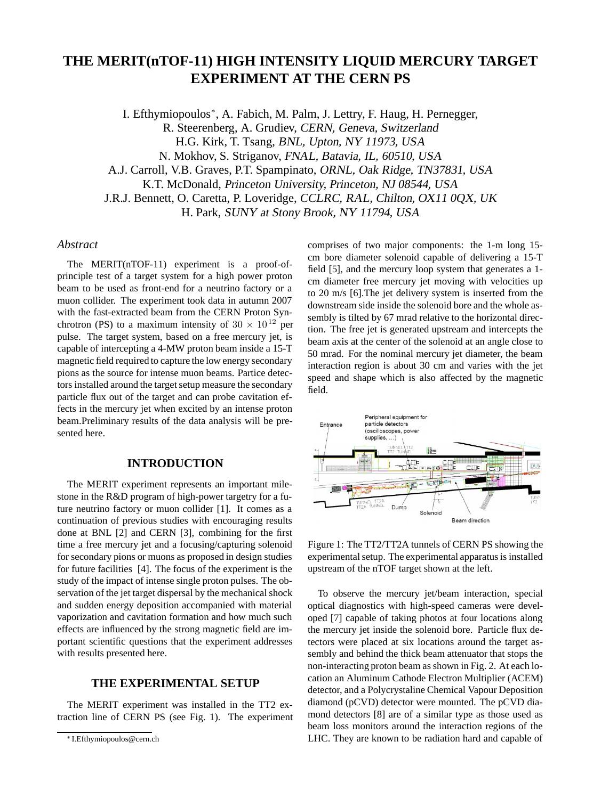# **THE MERIT(nTOF-11) HIGH INTENSITY LIQUID MERCURY TARGET EXPERIMENT AT THE CERN PS**

I. Efthymiopoulos∗, A. Fabich, M. Palm, J. Lettry, F. Haug, H. Pernegger, R. Steerenberg, A. Grudiev, CERN, Geneva, Switzerland H.G. Kirk, T. Tsang, BNL, Upton, NY 11973, USA N. Mokhov, S. Striganov, FNAL, Batavia, IL, 60510, USA A.J. Carroll, V.B. Graves, P.T. Spampinato, ORNL, Oak Ridge, TN37831, USA K.T. McDonald, Princeton University, Princeton, NJ 08544, USA J.R.J. Bennett, O. Caretta, P. Loveridge, CCLRC, RAL, Chilton, OX11 0QX, UK H. Park, SUNY at Stony Brook, NY 11794, USA

## *Abstract*

The MERIT(nTOF-11) experiment is a proof-ofprinciple test of a target system for a high power proton beam to be used as front-end for a neutrino factory or a muon collider. The experiment took data in autumn 2007 with the fast-extracted beam from the CERN Proton Synchrotron (PS) to a maximum intensity of  $30 \times 10^{12}$  per pulse. The target system, based on a free mercury jet, is capable of intercepting a 4-MW proton beam inside a 15-T magnetic field required to capture the low energy secondary pions as the source for intense muon beams. Partice detectors installed around the target setup measure the secondary particle flux out of the target and can probe cavitation effects in the mercury jet when excited by an intense proton beam.Preliminary results of the data analysis will be presented here.

#### **INTRODUCTION**

The MERIT experiment represents an important milestone in the R&D program of high-power targetry for a future neutrino factory or muon collider [1]. It comes as a continuation of previous studies with encouraging results done at BNL [2] and CERN [3], combining for the first time a free mercury jet and a focusing/capturing solenoid for secondary pions or muons as proposed in design studies for future facilities [4]. The focus of the experiment is the study of the impact of intense single proton pulses. The observation of the jet target dispersal by the mechanical shock and sudden energy deposition accompanied with material vaporization and cavitation formation and how much such effects are influenced by the strong magnetic field are important scientific questions that the experiment addresses with results presented here.

## **THE EXPERIMENTAL SETUP**

The MERIT experiment was installed in the TT2 extraction line of CERN PS (see Fig. 1). The experiment comprises of two major components: the 1-m long 15 cm bore diameter solenoid capable of delivering a 15-T field [5], and the mercury loop system that generates a 1 cm diameter free mercury jet moving with velocities up to 20 m/s [6].The jet delivery system is inserted from the downstream side inside the solenoid bore and the whole assembly is tilted by 67 mrad relative to the horizontal direction. The free jet is generated upstream and intercepts the beam axis at the center of the solenoid at an angle close to 50 mrad. For the nominal mercury jet diameter, the beam interaction region is about 30 cm and varies with the jet speed and shape which is also affected by the magnetic field.



Figure 1: The TT2/TT2A tunnels of CERN PS showing the experimental setup. The experimental apparatus is installed upstream of the nTOF target shown at the left.

To observe the mercury jet/beam interaction, special optical diagnostics with high-speed cameras were developed [7] capable of taking photos at four locations along the mercury jet inside the solenoid bore. Particle flux detectors were placed at six locations around the target assembly and behind the thick beam attenuator that stops the non-interacting proton beam as shown in Fig. 2. At each location an Aluminum Cathode Electron Multiplier (ACEM) detector, and a Polycrystaline Chemical Vapour Deposition diamond (pCVD) detector were mounted. The pCVD diamond detectors [8] are of a similar type as those used as beam loss monitors around the interaction regions of the LHC. They are known to be radiation hard and capable of

<sup>∗</sup> I.Efthymiopoulos@cern.ch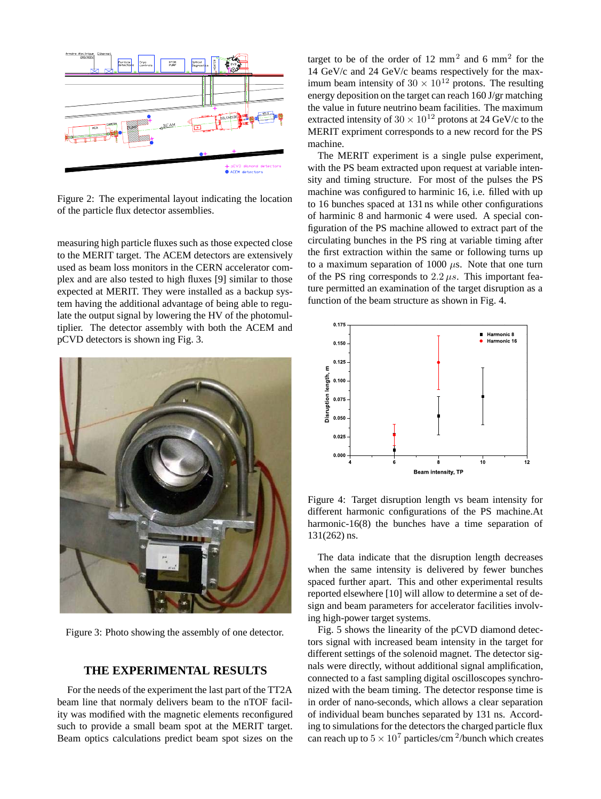

Figure 2: The experimental layout indicating the location of the particle flux detector assemblies.

measuring high particle fluxes such as those expected close to the MERIT target. The ACEM detectors are extensively used as beam loss monitors in the CERN accelerator complex and are also tested to high fluxes [9] similar to those expected at MERIT. They were installed as a backup system having the additional advantage of being able to regulate the output signal by lowering the HV of the photomultiplier. The detector assembly with both the ACEM and pCVD detectors is shown ing Fig. 3.



Figure 3: Photo showing the assembly of one detector.

# **THE EXPERIMENTAL RESULTS**

For the needs of the experiment the last part of the TT2A beam line that normaly delivers beam to the nTOF facility was modified with the magnetic elements reconfigured such to provide a small beam spot at the MERIT target. Beam optics calculations predict beam spot sizes on the

target to be of the order of 12  $mm<sup>2</sup>$  and 6  $mm<sup>2</sup>$  for the 14 GeV/c and 24 GeV/c beams respectively for the maximum beam intensity of  $30 \times 10^{12}$  protons. The resulting energy deposition on the target can reach 160 J/gr matching the value in future neutrino beam facilities. The maximum extracted intensity of  $30 \times 10^{12}$  protons at 24 GeV/c to the MERIT expriment corresponds to a new record for the PS machine.

The MERIT experiment is a single pulse experiment, with the PS beam extracted upon request at variable intensity and timing structure. For most of the pulses the PS machine was configured to harminic 16, i.e. filled with up to 16 bunches spaced at 131 ns while other configurations of harminic 8 and harmonic 4 were used. A special configuration of the PS machine allowed to extract part of the circulating bunches in the PS ring at variable timing after the first extraction within the same or following turns up to a maximum separation of  $1000 \mu s$ . Note that one turn of the PS ring corresponds to  $2.2 \mu s$ . This important feature permitted an examination of the target disruption as a function of the beam structure as shown in Fig. 4.



Figure 4: Target disruption length vs beam intensity for different harmonic configurations of the PS machine.At harmonic-16(8) the bunches have a time separation of 131(262) ns.

The data indicate that the disruption length decreases when the same intensity is delivered by fewer bunches spaced further apart. This and other experimental results reported elsewhere [10] will allow to determine a set of design and beam parameters for accelerator facilities involving high-power target systems.

Fig. 5 shows the linearity of the pCVD diamond detectors signal with increased beam intensity in the target for different settings of the solenoid magnet. The detector signals were directly, without additional signal amplification, connected to a fast sampling digital oscilloscopes synchronized with the beam timing. The detector response time is in order of nano-seconds, which allows a clear separation of individual beam bunches separated by 131 ns. According to simulations for the detectors the charged particle flux can reach up to  $5 \times 10^7$  particles/cm <sup>2</sup>/bunch which creates